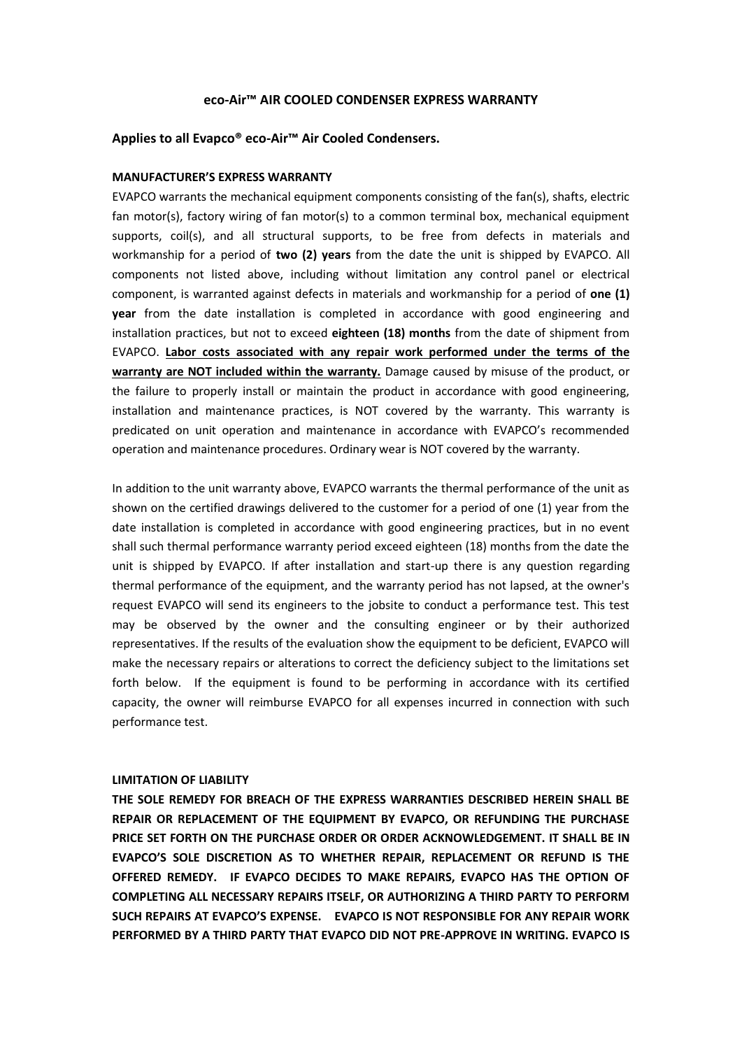## **eco-Air™ AIR COOLED CONDENSER EXPRESS WARRANTY**

# **Applies to all Evapco® eco-Air™ Air Cooled Condensers.**

#### **MANUFACTURER'S EXPRESS WARRANTY**

EVAPCO warrants the mechanical equipment components consisting of the fan(s), shafts, electric fan motor(s), factory wiring of fan motor(s) to a common terminal box, mechanical equipment supports, coil(s), and all structural supports, to be free from defects in materials and workmanship for a period of **two (2) years** from the date the unit is shipped by EVAPCO. All components not listed above, including without limitation any control panel or electrical component, is warranted against defects in materials and workmanship for a period of **one (1) year** from the date installation is completed in accordance with good engineering and installation practices, but not to exceed **eighteen (18) months** from the date of shipment from EVAPCO. **Labor costs associated with any repair work performed under the terms of the warranty are NOT included within the warranty.** Damage caused by misuse of the product, or the failure to properly install or maintain the product in accordance with good engineering, installation and maintenance practices, is NOT covered by the warranty. This warranty is predicated on unit operation and maintenance in accordance with EVAPCO's recommended operation and maintenance procedures. Ordinary wear is NOT covered by the warranty.

In addition to the unit warranty above, EVAPCO warrants the thermal performance of the unit as shown on the certified drawings delivered to the customer for a period of one (1) year from the date installation is completed in accordance with good engineering practices, but in no event shall such thermal performance warranty period exceed eighteen (18) months from the date the unit is shipped by EVAPCO. If after installation and start-up there is any question regarding thermal performance of the equipment, and the warranty period has not lapsed, at the owner's request EVAPCO will send its engineers to the jobsite to conduct a performance test. This test may be observed by the owner and the consulting engineer or by their authorized representatives. If the results of the evaluation show the equipment to be deficient, EVAPCO will make the necessary repairs or alterations to correct the deficiency subject to the limitations set forth below. If the equipment is found to be performing in accordance with its certified capacity, the owner will reimburse EVAPCO for all expenses incurred in connection with such performance test.

# **LIMITATION OF LIABILITY**

**THE SOLE REMEDY FOR BREACH OF THE EXPRESS WARRANTIES DESCRIBED HEREIN SHALL BE REPAIR OR REPLACEMENT OF THE EQUIPMENT BY EVAPCO, OR REFUNDING THE PURCHASE PRICE SET FORTH ON THE PURCHASE ORDER OR ORDER ACKNOWLEDGEMENT. IT SHALL BE IN EVAPCO'S SOLE DISCRETION AS TO WHETHER REPAIR, REPLACEMENT OR REFUND IS THE OFFERED REMEDY. IF EVAPCO DECIDES TO MAKE REPAIRS, EVAPCO HAS THE OPTION OF COMPLETING ALL NECESSARY REPAIRS ITSELF, OR AUTHORIZING A THIRD PARTY TO PERFORM SUCH REPAIRS AT EVAPCO'S EXPENSE. EVAPCO IS NOT RESPONSIBLE FOR ANY REPAIR WORK PERFORMED BY A THIRD PARTY THAT EVAPCO DID NOT PRE-APPROVE IN WRITING. EVAPCO IS**